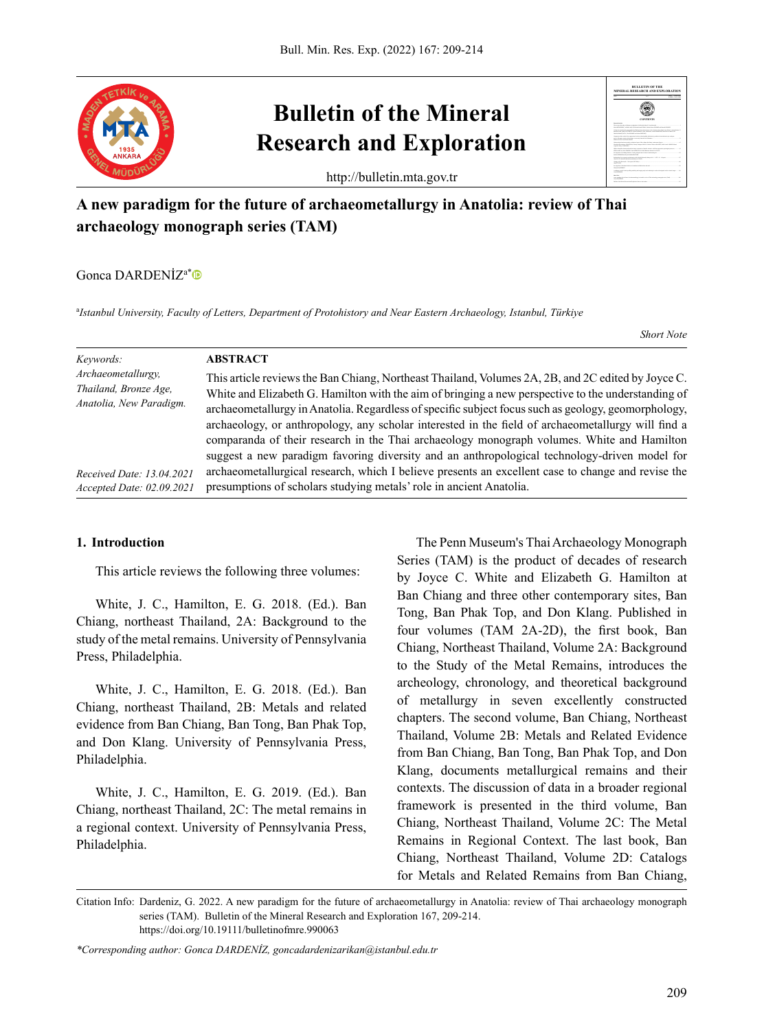

# **Bulletin of the Mineral Research and Exploration**

http://bulletin.mta.gov.tr

# **A new paradigm for the future of archaeometallurgy in Anatolia: review of Thai archaeology monograph series (TAM)**

Gonca DARDENİZa\*

a *Istanbul University, Faculty of Letters, Department of Protohistory and Near Eastern Archaeology, Istanbul, Türkiye*

*Short Note*

**BULLETIN OF THE MINERAL RESEARCH AND EXPLORATION**

2022 167 ISSN : 0026-5026 167 ISSN : 0026-5026 167 ISSN : 0026-4563

**CONTENTS** Emmanuel Kenechukwu ANAKWUBA, Chinenye Margaret OKOLO, Valeria Chibuzo AHANEKU, Stella Nwaife CHIBUZOR and

| Keywords:<br>Archaeometallurgy,<br>Thailand, Bronze Age,<br>Anatolia, New Paradigm. | <b>ABSTRACT</b><br>This article reviews the Ban Chiang, Northeast Thailand, Volumes 2A, 2B, and 2C edited by Joyce C.<br>White and Elizabeth G. Hamilton with the aim of bringing a new perspective to the understanding of<br>archaeometallurgy in Anatolia. Regardless of specific subject focus such as geology, geomorphology,<br>archaeology, or anthropology, any scholar interested in the field of archaeometallurgy will find a<br>comparanda of their research in the Thai archaeology monograph volumes. White and Hamilton<br>suggest a new paradigm favoring diversity and an anthropological technology-driven model for |
|-------------------------------------------------------------------------------------|----------------------------------------------------------------------------------------------------------------------------------------------------------------------------------------------------------------------------------------------------------------------------------------------------------------------------------------------------------------------------------------------------------------------------------------------------------------------------------------------------------------------------------------------------------------------------------------------------------------------------------------|
| Received Date: 13.04.2021                                                           | archaeometallurgical research, which I believe presents an excellent case to change and revise the                                                                                                                                                                                                                                                                                                                                                                                                                                                                                                                                     |
| Accepted Date: 02.09.2021                                                           | presumptions of scholars studying metals' role in ancient Anatolia.                                                                                                                                                                                                                                                                                                                                                                                                                                                                                                                                                                    |

#### **1. Introduction**

This article reviews the following three volumes:

White, J. C., Hamilton, E. G. 2018. (Ed.). Ban Chiang, northeast Thailand, 2A: Background to the study of the metal remains. University of Pennsylvania Press, Philadelphia.

White, J. C., Hamilton, E. G. 2018. (Ed.). Ban Chiang, northeast Thailand, 2B: Metals and related evidence from Ban Chiang, Ban Tong, Ban Phak Top, and Don Klang. University of Pennsylvania Press, Philadelphia.

White, J. C., Hamilton, E. G. 2019. (Ed.). Ban Chiang, northeast Thailand, 2C: The metal remains in a regional context. University of Pennsylvania Press, Philadelphia.

The Penn Museum's Thai Archaeology Monograph Series (TAM) is the product of decades of research by Joyce C. White and Elizabeth G. Hamilton at Ban Chiang and three other contemporary sites, Ban Tong, Ban Phak Top, and Don Klang. Published in four volumes (TAM 2A-2D), the first book, Ban Chiang, Northeast Thailand, Volume 2A: Background to the Study of the Metal Remains, introduces the archeology, chronology, and theoretical background of metallurgy in seven excellently constructed chapters. The second volume, Ban Chiang, Northeast Thailand, Volume 2B: Metals and Related Evidence from Ban Chiang, Ban Tong, Ban Phak Top, and Don Klang, documents metallurgical remains and their contexts. The discussion of data in a broader regional framework is presented in the third volume, Ban Chiang, Northeast Thailand, Volume 2C: The Metal Remains in Regional Context. The last book, Ban Chiang, Northeast Thailand, Volume 2D: Catalogs for Metals and Related Remains from Ban Chiang,

Citation Info: Dardeniz, G. 2022. A new paradigm for the future of archaeometallurgy in Anatolia: review of Thai archaeology monograph series (TAM). Bulletin of the Mineral Research and Exploration 167, 209-214. https://doi.org/10.19111/bulletinofmre.990063

*\*Corresponding author: Gonca DARDENİZ, goncadardenizarikan@istanbul.edu.tr*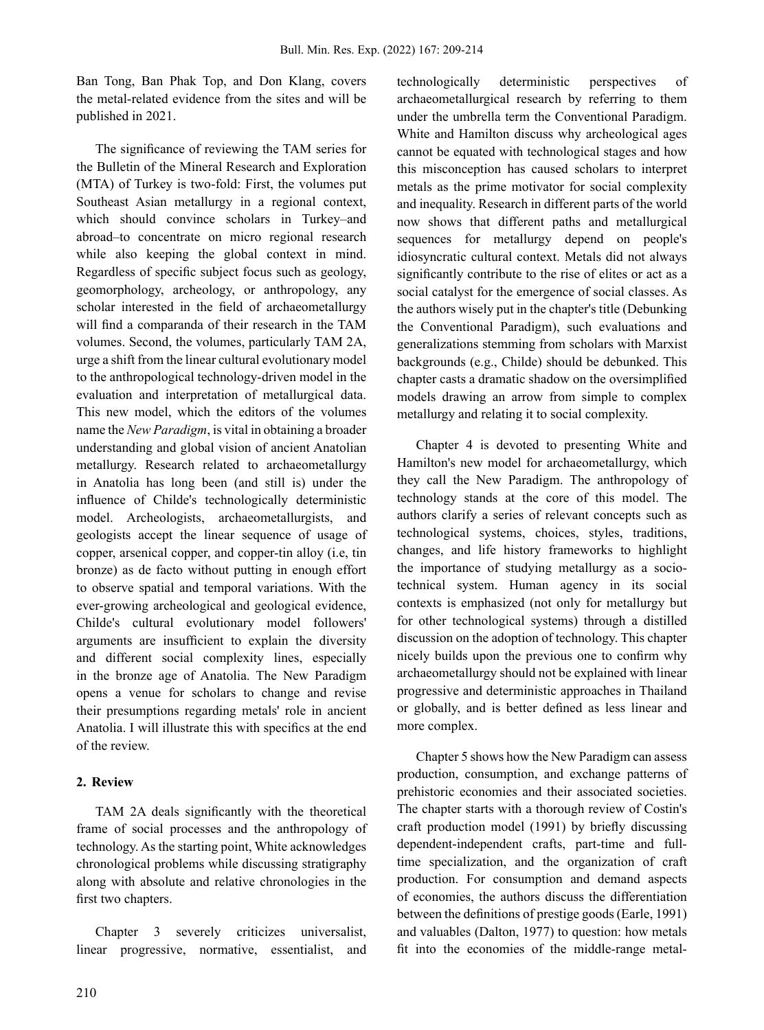Ban Tong, Ban Phak Top, and Don Klang, covers the metal-related evidence from the sites and will be published in 2021.

The significance of reviewing the TAM series for the Bulletin of the Mineral Research and Exploration (MTA) of Turkey is two-fold: First, the volumes put Southeast Asian metallurgy in a regional context, which should convince scholars in Turkey–and abroad–to concentrate on micro regional research while also keeping the global context in mind. Regardless of specific subject focus such as geology, geomorphology, archeology, or anthropology, any scholar interested in the field of archaeometallurgy will find a comparanda of their research in the TAM volumes. Second, the volumes, particularly TAM 2A, urge a shift from the linear cultural evolutionary model to the anthropological technology-driven model in the evaluation and interpretation of metallurgical data. This new model, which the editors of the volumes name the *New Paradigm*, is vital in obtaining a broader understanding and global vision of ancient Anatolian metallurgy. Research related to archaeometallurgy in Anatolia has long been (and still is) under the influence of Childe's technologically deterministic model. Archeologists, archaeometallurgists, and geologists accept the linear sequence of usage of copper, arsenical copper, and copper-tin alloy (i.e, tin bronze) as de facto without putting in enough effort to observe spatial and temporal variations. With the ever-growing archeological and geological evidence, Childe's cultural evolutionary model followers' arguments are insufficient to explain the diversity and different social complexity lines, especially in the bronze age of Anatolia. The New Paradigm opens a venue for scholars to change and revise their presumptions regarding metals' role in ancient Anatolia. I will illustrate this with specifics at the end of the review.

## **2. Review**

TAM 2A deals significantly with the theoretical frame of social processes and the anthropology of technology. As the starting point, White acknowledges chronological problems while discussing stratigraphy along with absolute and relative chronologies in the first two chapters.

Chapter 3 severely criticizes universalist, linear progressive, normative, essentialist, and technologically deterministic perspectives of archaeometallurgical research by referring to them under the umbrella term the Conventional Paradigm. White and Hamilton discuss why archeological ages cannot be equated with technological stages and how this misconception has caused scholars to interpret metals as the prime motivator for social complexity and inequality. Research in different parts of the world now shows that different paths and metallurgical sequences for metallurgy depend on people's idiosyncratic cultural context. Metals did not always significantly contribute to the rise of elites or act as a social catalyst for the emergence of social classes. As the authors wisely put in the chapter's title (Debunking the Conventional Paradigm), such evaluations and generalizations stemming from scholars with Marxist backgrounds (e.g., Childe) should be debunked. This chapter casts a dramatic shadow on the oversimplified models drawing an arrow from simple to complex metallurgy and relating it to social complexity.

Chapter 4 is devoted to presenting White and Hamilton's new model for archaeometallurgy, which they call the New Paradigm. The anthropology of technology stands at the core of this model. The authors clarify a series of relevant concepts such as technological systems, choices, styles, traditions, changes, and life history frameworks to highlight the importance of studying metallurgy as a sociotechnical system. Human agency in its social contexts is emphasized (not only for metallurgy but for other technological systems) through a distilled discussion on the adoption of technology. This chapter nicely builds upon the previous one to confirm why archaeometallurgy should not be explained with linear progressive and deterministic approaches in Thailand or globally, and is better defined as less linear and more complex.

Chapter 5 shows how the New Paradigm can assess production, consumption, and exchange patterns of prehistoric economies and their associated societies. The chapter starts with a thorough review of Costin's craft production model (1991) by briefly discussing dependent-independent crafts, part-time and fulltime specialization, and the organization of craft production. For consumption and demand aspects of economies, the authors discuss the differentiation between the definitions of prestige goods (Earle, 1991) and valuables (Dalton, 1977) to question: how metals fit into the economies of the middle-range metal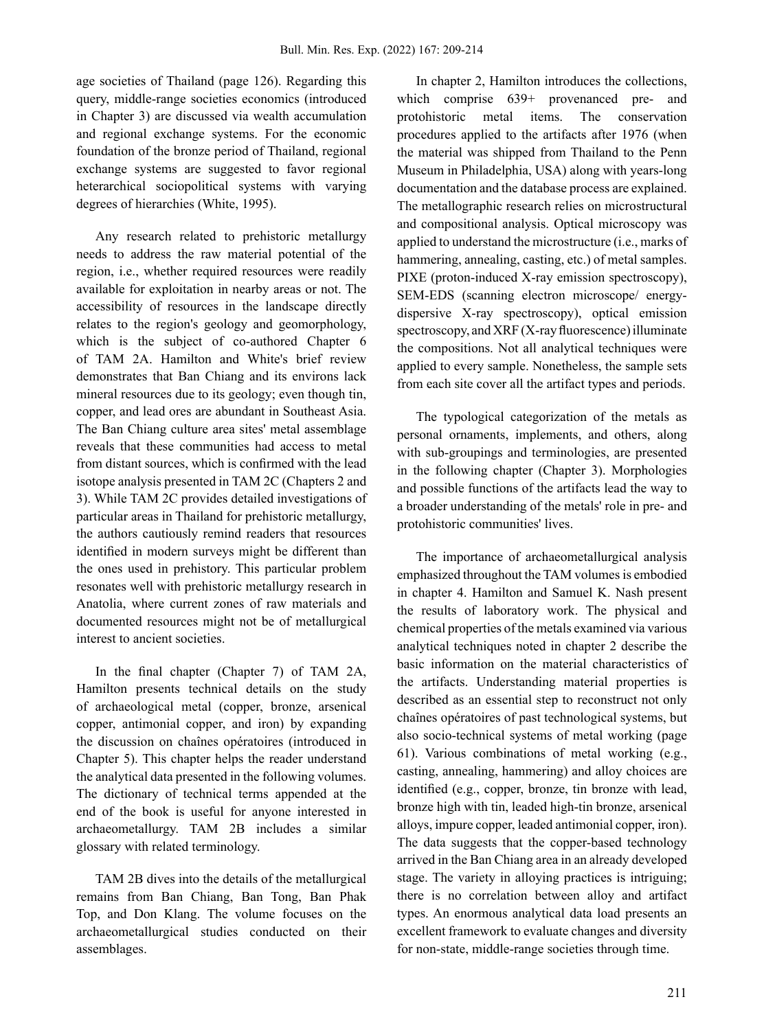age societies of Thailand (page 126). Regarding this query, middle-range societies economics (introduced in Chapter 3) are discussed via wealth accumulation and regional exchange systems. For the economic foundation of the bronze period of Thailand, regional exchange systems are suggested to favor regional heterarchical sociopolitical systems with varying degrees of hierarchies (White, 1995).

Any research related to prehistoric metallurgy needs to address the raw material potential of the region, i.e., whether required resources were readily available for exploitation in nearby areas or not. The accessibility of resources in the landscape directly relates to the region's geology and geomorphology, which is the subject of co-authored Chapter 6 of TAM 2A. Hamilton and White's brief review demonstrates that Ban Chiang and its environs lack mineral resources due to its geology; even though tin, copper, and lead ores are abundant in Southeast Asia. The Ban Chiang culture area sites' metal assemblage reveals that these communities had access to metal from distant sources, which is confirmed with the lead isotope analysis presented in TAM 2C (Chapters 2 and 3). While TAM 2C provides detailed investigations of particular areas in Thailand for prehistoric metallurgy, the authors cautiously remind readers that resources identified in modern surveys might be different than the ones used in prehistory. This particular problem resonates well with prehistoric metallurgy research in Anatolia, where current zones of raw materials and documented resources might not be of metallurgical interest to ancient societies.

In the final chapter (Chapter 7) of TAM 2A, Hamilton presents technical details on the study of archaeological metal (copper, bronze, arsenical copper, antimonial copper, and iron) by expanding the discussion on chaînes opératoires (introduced in Chapter 5). This chapter helps the reader understand the analytical data presented in the following volumes. The dictionary of technical terms appended at the end of the book is useful for anyone interested in archaeometallurgy. TAM 2B includes a similar glossary with related terminology.

TAM 2B dives into the details of the metallurgical remains from Ban Chiang, Ban Tong, Ban Phak Top, and Don Klang. The volume focuses on the archaeometallurgical studies conducted on their assemblages.

In chapter 2, Hamilton introduces the collections, which comprise  $639+$  provenanced pre- and protohistoric metal items. The conservation procedures applied to the artifacts after 1976 (when the material was shipped from Thailand to the Penn Museum in Philadelphia, USA) along with years-long documentation and the database process are explained. The metallographic research relies on microstructural and compositional analysis. Optical microscopy was applied to understand the microstructure (i.e., marks of hammering, annealing, casting, etc.) of metal samples. PIXE (proton-induced X-ray emission spectroscopy), SEM-EDS (scanning electron microscope/ energydispersive X-ray spectroscopy), optical emission spectroscopy, and XRF (X-ray fluorescence) illuminate the compositions. Not all analytical techniques were applied to every sample. Nonetheless, the sample sets from each site cover all the artifact types and periods.

The typological categorization of the metals as personal ornaments, implements, and others, along with sub-groupings and terminologies, are presented in the following chapter (Chapter 3). Morphologies and possible functions of the artifacts lead the way to a broader understanding of the metals' role in pre- and protohistoric communities' lives.

The importance of archaeometallurgical analysis emphasized throughout the TAM volumes is embodied in chapter 4. Hamilton and Samuel K. Nash present the results of laboratory work. The physical and chemical properties of the metals examined via various analytical techniques noted in chapter 2 describe the basic information on the material characteristics of the artifacts. Understanding material properties is described as an essential step to reconstruct not only chaînes opératoires of past technological systems, but also socio-technical systems of metal working (page 61). Various combinations of metal working (e.g., casting, annealing, hammering) and alloy choices are identified (e.g., copper, bronze, tin bronze with lead, bronze high with tin, leaded high-tin bronze, arsenical alloys, impure copper, leaded antimonial copper, iron). The data suggests that the copper-based technology arrived in the Ban Chiang area in an already developed stage. The variety in alloying practices is intriguing; there is no correlation between alloy and artifact types. An enormous analytical data load presents an excellent framework to evaluate changes and diversity for non-state, middle-range societies through time.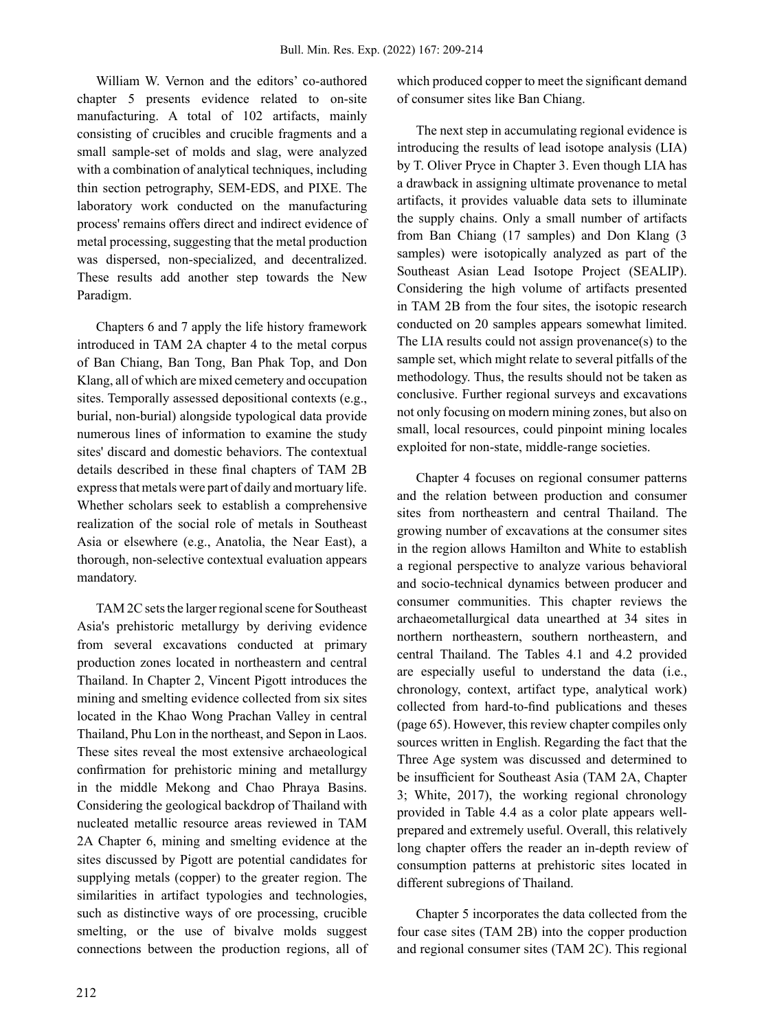William W. Vernon and the editors' co-authored chapter 5 presents evidence related to on-site manufacturing. A total of 102 artifacts, mainly consisting of crucibles and crucible fragments and a small sample-set of molds and slag, were analyzed with a combination of analytical techniques, including thin section petrography, SEM-EDS, and PIXE. The laboratory work conducted on the manufacturing process' remains offers direct and indirect evidence of metal processing, suggesting that the metal production was dispersed, non-specialized, and decentralized. These results add another step towards the New Paradigm.

Chapters 6 and 7 apply the life history framework introduced in TAM 2A chapter 4 to the metal corpus of Ban Chiang, Ban Tong, Ban Phak Top, and Don Klang, all of which are mixed cemetery and occupation sites. Temporally assessed depositional contexts (e.g., burial, non-burial) alongside typological data provide numerous lines of information to examine the study sites' discard and domestic behaviors. The contextual details described in these final chapters of TAM 2B express that metals were part of daily and mortuary life. Whether scholars seek to establish a comprehensive realization of the social role of metals in Southeast Asia or elsewhere (e.g., Anatolia, the Near East), a thorough, non-selective contextual evaluation appears mandatory.

TAM 2C sets the larger regional scene for Southeast Asia's prehistoric metallurgy by deriving evidence from several excavations conducted at primary production zones located in northeastern and central Thailand. In Chapter 2, Vincent Pigott introduces the mining and smelting evidence collected from six sites located in the Khao Wong Prachan Valley in central Thailand, Phu Lon in the northeast, and Sepon in Laos. These sites reveal the most extensive archaeological confirmation for prehistoric mining and metallurgy in the middle Mekong and Chao Phraya Basins. Considering the geological backdrop of Thailand with nucleated metallic resource areas reviewed in TAM 2A Chapter 6, mining and smelting evidence at the sites discussed by Pigott are potential candidates for supplying metals (copper) to the greater region. The similarities in artifact typologies and technologies, such as distinctive ways of ore processing, crucible smelting, or the use of bivalve molds suggest connections between the production regions, all of which produced copper to meet the significant demand of consumer sites like Ban Chiang.

The next step in accumulating regional evidence is introducing the results of lead isotope analysis (LIA) by T. Oliver Pryce in Chapter 3. Even though LIA has a drawback in assigning ultimate provenance to metal artifacts, it provides valuable data sets to illuminate the supply chains. Only a small number of artifacts from Ban Chiang (17 samples) and Don Klang (3 samples) were isotopically analyzed as part of the Southeast Asian Lead Isotope Project (SEALIP). Considering the high volume of artifacts presented in TAM 2B from the four sites, the isotopic research conducted on 20 samples appears somewhat limited. The LIA results could not assign provenance(s) to the sample set, which might relate to several pitfalls of the methodology. Thus, the results should not be taken as conclusive. Further regional surveys and excavations not only focusing on modern mining zones, but also on small, local resources, could pinpoint mining locales exploited for non-state, middle-range societies.

Chapter 4 focuses on regional consumer patterns and the relation between production and consumer sites from northeastern and central Thailand. The growing number of excavations at the consumer sites in the region allows Hamilton and White to establish a regional perspective to analyze various behavioral and socio-technical dynamics between producer and consumer communities. This chapter reviews the archaeometallurgical data unearthed at 34 sites in northern northeastern, southern northeastern, and central Thailand. The Tables 4.1 and 4.2 provided are especially useful to understand the data (i.e., chronology, context, artifact type, analytical work) collected from hard-to-find publications and theses (page 65). However, this review chapter compiles only sources written in English. Regarding the fact that the Three Age system was discussed and determined to be insufficient for Southeast Asia (TAM 2A, Chapter 3; White, 2017), the working regional chronology provided in Table 4.4 as a color plate appears wellprepared and extremely useful. Overall, this relatively long chapter offers the reader an in-depth review of consumption patterns at prehistoric sites located in different subregions of Thailand.

Chapter 5 incorporates the data collected from the four case sites (TAM 2B) into the copper production and regional consumer sites (TAM 2C). This regional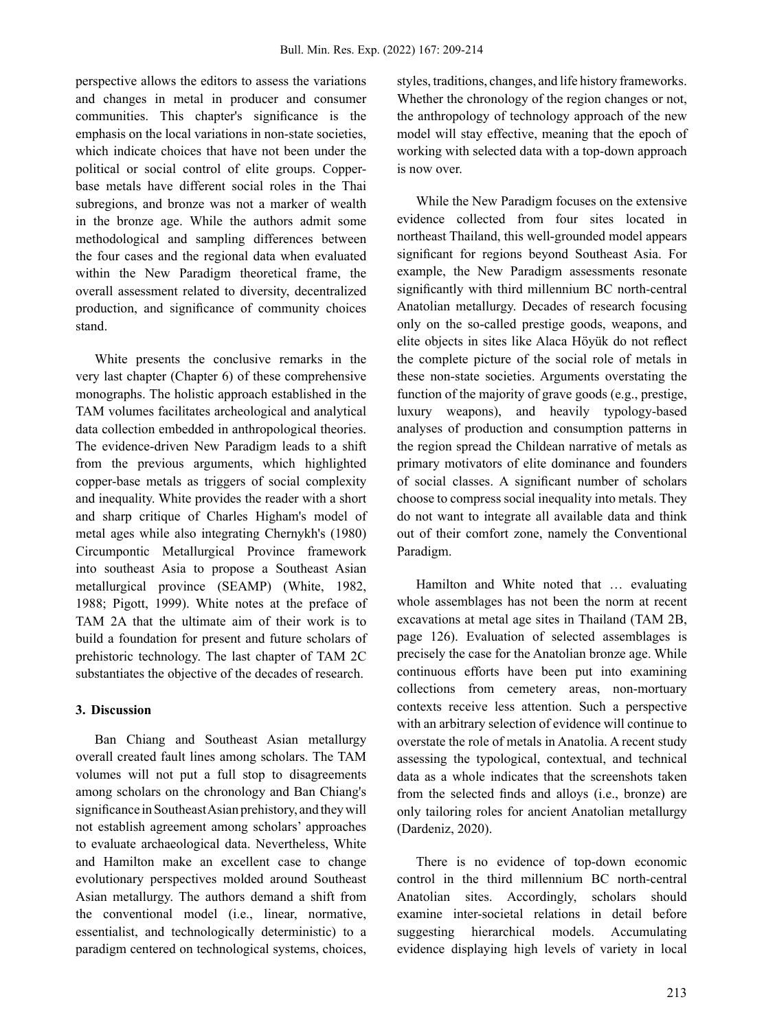perspective allows the editors to assess the variations and changes in metal in producer and consumer communities. This chapter's significance is the emphasis on the local variations in non-state societies, which indicate choices that have not been under the political or social control of elite groups. Copperbase metals have different social roles in the Thai subregions, and bronze was not a marker of wealth in the bronze age. While the authors admit some methodological and sampling differences between the four cases and the regional data when evaluated within the New Paradigm theoretical frame, the overall assessment related to diversity, decentralized production, and significance of community choices stand.

White presents the conclusive remarks in the very last chapter (Chapter 6) of these comprehensive monographs. The holistic approach established in the TAM volumes facilitates archeological and analytical data collection embedded in anthropological theories. The evidence-driven New Paradigm leads to a shift from the previous arguments, which highlighted copper-base metals as triggers of social complexity and inequality. White provides the reader with a short and sharp critique of Charles Higham's model of metal ages while also integrating Chernykh's (1980) Circumpontic Metallurgical Province framework into southeast Asia to propose a Southeast Asian metallurgical province (SEAMP) (White, 1982, 1988; Pigott, 1999). White notes at the preface of TAM 2A that the ultimate aim of their work is to build a foundation for present and future scholars of prehistoric technology. The last chapter of TAM 2C substantiates the objective of the decades of research.

#### **3. Discussion**

Ban Chiang and Southeast Asian metallurgy overall created fault lines among scholars. The TAM volumes will not put a full stop to disagreements among scholars on the chronology and Ban Chiang's significance in Southeast Asian prehistory, and they will not establish agreement among scholars' approaches to evaluate archaeological data. Nevertheless, White and Hamilton make an excellent case to change evolutionary perspectives molded around Southeast Asian metallurgy. The authors demand a shift from the conventional model (i.e., linear, normative, essentialist, and technologically deterministic) to a paradigm centered on technological systems, choices, styles, traditions, changes, and life history frameworks. Whether the chronology of the region changes or not, the anthropology of technology approach of the new model will stay effective, meaning that the epoch of working with selected data with a top-down approach is now over.

While the New Paradigm focuses on the extensive evidence collected from four sites located in northeast Thailand, this well-grounded model appears significant for regions beyond Southeast Asia. For example, the New Paradigm assessments resonate significantly with third millennium BC north-central Anatolian metallurgy. Decades of research focusing only on the so-called prestige goods, weapons, and elite objects in sites like Alaca Höyük do not reflect the complete picture of the social role of metals in these non-state societies. Arguments overstating the function of the majority of grave goods (e.g., prestige, luxury weapons), and heavily typology-based analyses of production and consumption patterns in the region spread the Childean narrative of metals as primary motivators of elite dominance and founders of social classes. A significant number of scholars choose to compress social inequality into metals. They do not want to integrate all available data and think out of their comfort zone, namely the Conventional Paradigm.

Hamilton and White noted that … evaluating whole assemblages has not been the norm at recent excavations at metal age sites in Thailand (TAM 2B, page 126). Evaluation of selected assemblages is precisely the case for the Anatolian bronze age. While continuous efforts have been put into examining collections from cemetery areas, non-mortuary contexts receive less attention. Such a perspective with an arbitrary selection of evidence will continue to overstate the role of metals in Anatolia. A recent study assessing the typological, contextual, and technical data as a whole indicates that the screenshots taken from the selected finds and alloys (i.e., bronze) are only tailoring roles for ancient Anatolian metallurgy (Dardeniz, 2020).

There is no evidence of top-down economic control in the third millennium BC north-central Anatolian sites. Accordingly, scholars should examine inter-societal relations in detail before suggesting hierarchical models. Accumulating evidence displaying high levels of variety in local